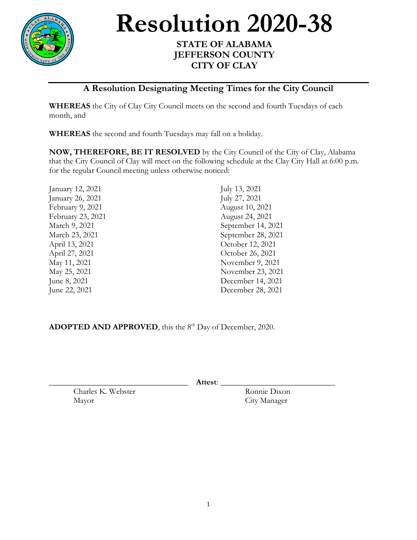

**Resolution 2020-38** 

## **STATE OF ALABAMA JEFFERSON COUNTY CITY OF CLAY**

## **A Resolution Designating Meeting Times for the City Council**

**WHEREAS** the City of Clay City Council meets on the second and fourth Tuesdays of each month, and

**WHEREAS** the second and fourth Tuesdays may fall on a holiday.

**NOW, THEREFORE, BE IT RESOLVED** by the City Council of the City of Clay, Alabama that the City Council of Clay will meet on the following schedule at the Clay City Hall at 6:00 p.m. for the regular Council meeting unless otherwise noticed:

| January 12, 2021  | July 13, 2021      |
|-------------------|--------------------|
| January 26, 2021  | July 27, 2021      |
| February 9, 2021  | August 10, 2021    |
| February 23, 2021 | August 24, 2021    |
| March 9, 2021     | September 14, 2021 |
| March 23, 2021    | September 28, 2021 |
| April 13, 2021    | October 12, 2021   |
| April 27, 2021    | October 26, 2021   |
| May 11, 2021      | November 9, 2021   |
| May 25, 2021      | November 23, 2021  |
| June 8, 2021      | December 14, 2021  |
| June 22, 2021     | December 28, 2021  |
|                   |                    |

ADOPTED AND APPROVED, this the 8<sup>th</sup> Day of December, 2020.

\_\_\_\_\_\_\_\_\_\_\_\_\_\_\_\_\_\_\_\_\_\_\_\_\_\_\_\_\_\_\_\_\_\_ **Attest**: \_\_\_\_\_\_\_\_\_\_\_\_\_\_\_\_\_\_\_\_\_\_\_\_\_\_\_\_

Charles K. Webster Ronnie Dixon Mayor City Manager